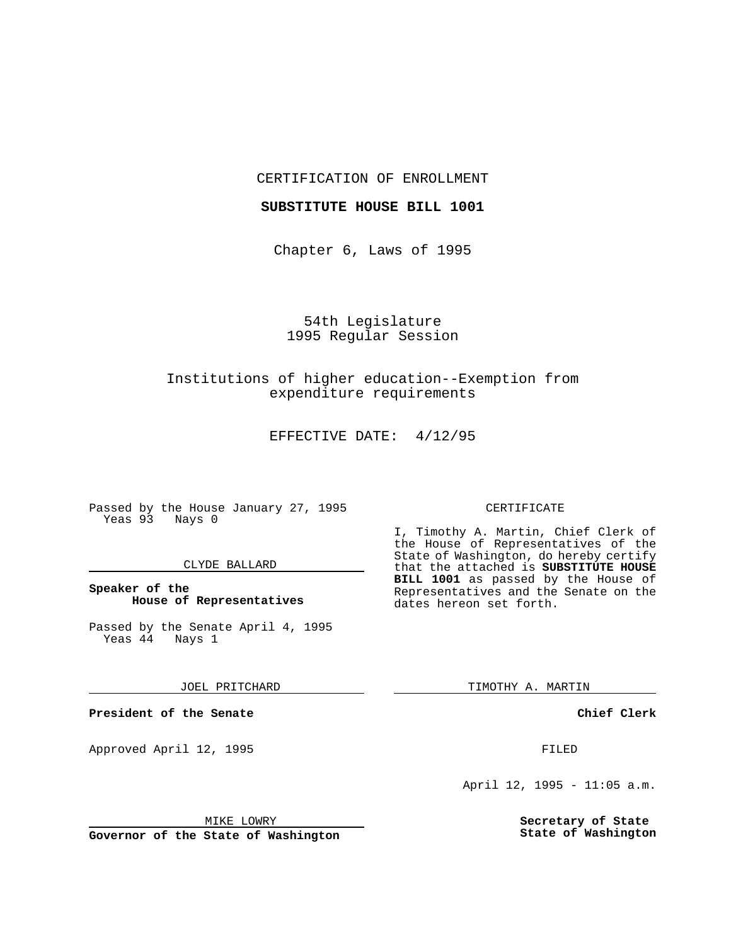## CERTIFICATION OF ENROLLMENT

#### **SUBSTITUTE HOUSE BILL 1001**

Chapter 6, Laws of 1995

# 54th Legislature 1995 Regular Session

# Institutions of higher education--Exemption from expenditure requirements

EFFECTIVE DATE: 4/12/95

Passed by the House January 27, 1995 Yeas 93 Nays 0

## CLYDE BALLARD

## **Speaker of the House of Representatives**

Passed by the Senate April 4, 1995<br>Yeas 44 Nays 1  $Yeas$  44

#### JOEL PRITCHARD

**President of the Senate**

Approved April 12, 1995 FILED

# CERTIFICATE

I, Timothy A. Martin, Chief Clerk of the House of Representatives of the State of Washington, do hereby certify that the attached is **SUBSTITUTE HOUSE BILL 1001** as passed by the House of Representatives and the Senate on the dates hereon set forth.

TIMOTHY A. MARTIN

**Chief Clerk**

April 12, 1995 - 11:05 a.m.

**Secretary of State State of Washington**

MIKE LOWRY

**Governor of the State of Washington**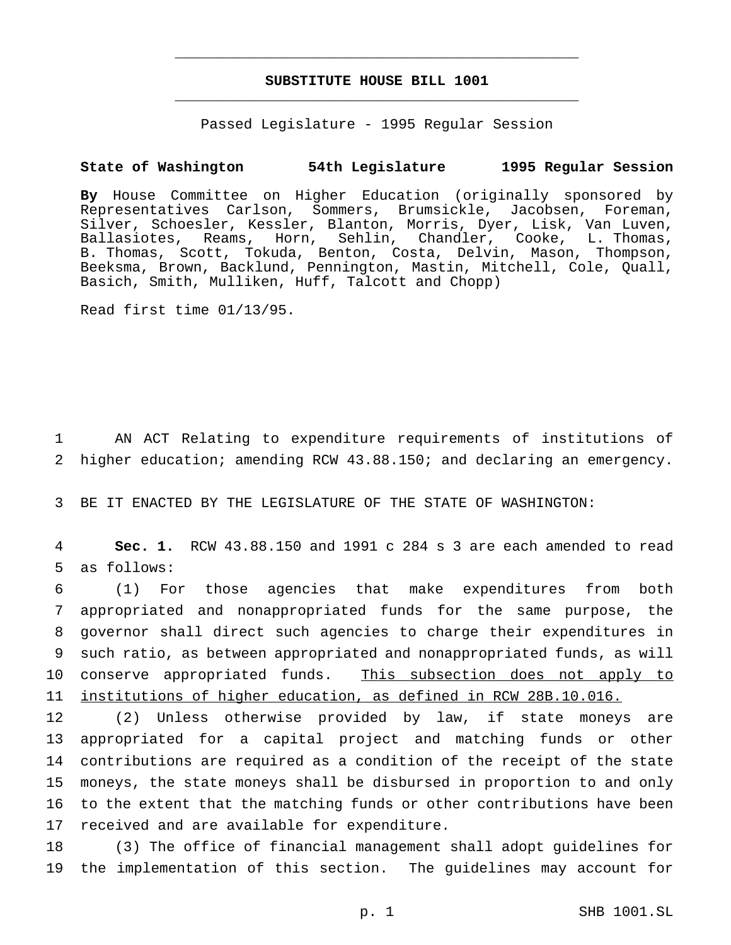# **SUBSTITUTE HOUSE BILL 1001** \_\_\_\_\_\_\_\_\_\_\_\_\_\_\_\_\_\_\_\_\_\_\_\_\_\_\_\_\_\_\_\_\_\_\_\_\_\_\_\_\_\_\_\_\_\_\_

\_\_\_\_\_\_\_\_\_\_\_\_\_\_\_\_\_\_\_\_\_\_\_\_\_\_\_\_\_\_\_\_\_\_\_\_\_\_\_\_\_\_\_\_\_\_\_

Passed Legislature - 1995 Regular Session

## **State of Washington 54th Legislature 1995 Regular Session**

**By** House Committee on Higher Education (originally sponsored by Representatives Carlson, Sommers, Brumsickle, Jacobsen, Foreman, Silver, Schoesler, Kessler, Blanton, Morris, Dyer, Lisk, Van Luven, Ballasiotes, Reams, Horn, Sehlin, Chandler, Cooke, L. Thomas, B. Thomas, Scott, Tokuda, Benton, Costa, Delvin, Mason, Thompson, Beeksma, Brown, Backlund, Pennington, Mastin, Mitchell, Cole, Quall, Basich, Smith, Mulliken, Huff, Talcott and Chopp)

Read first time 01/13/95.

1 AN ACT Relating to expenditure requirements of institutions of 2 higher education; amending RCW 43.88.150; and declaring an emergency.

3 BE IT ENACTED BY THE LEGISLATURE OF THE STATE OF WASHINGTON:

4 **Sec. 1.** RCW 43.88.150 and 1991 c 284 s 3 are each amended to read 5 as follows:

 (1) For those agencies that make expenditures from both appropriated and nonappropriated funds for the same purpose, the governor shall direct such agencies to charge their expenditures in such ratio, as between appropriated and nonappropriated funds, as will 10 conserve appropriated funds. This subsection does not apply to institutions of higher education, as defined in RCW 28B.10.016.

 (2) Unless otherwise provided by law, if state moneys are appropriated for a capital project and matching funds or other contributions are required as a condition of the receipt of the state moneys, the state moneys shall be disbursed in proportion to and only to the extent that the matching funds or other contributions have been received and are available for expenditure.

18 (3) The office of financial management shall adopt guidelines for 19 the implementation of this section. The guidelines may account for